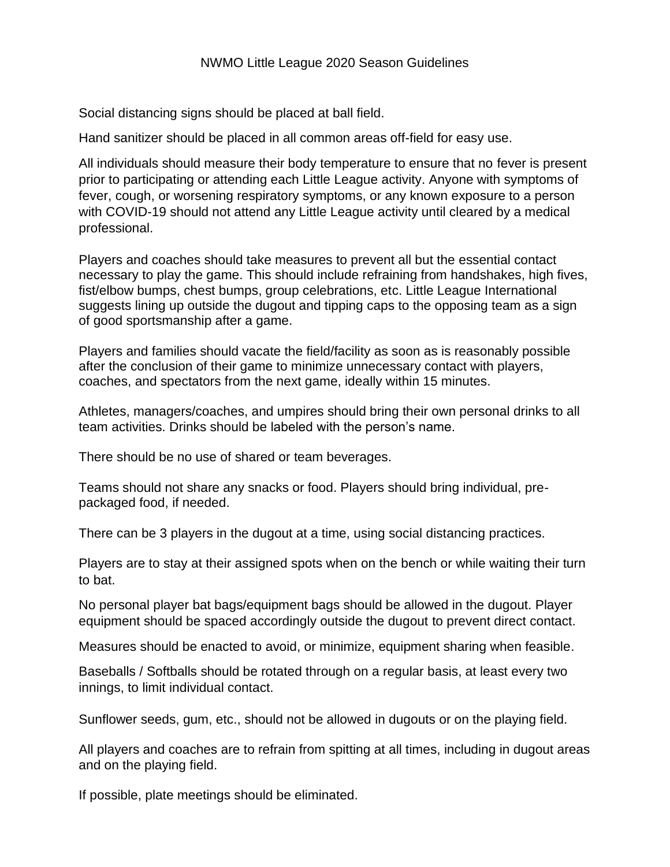## NWMO Little League 2020 Season Guidelines

Social distancing signs should be placed at ball field.

Hand sanitizer should be placed in all common areas off-field for easy use.

All individuals should measure their body temperature to ensure that no fever is present prior to participating or attending each Little League activity. Anyone with symptoms of fever, cough, or worsening respiratory symptoms, or any known exposure to a person with COVID-19 should not attend any Little League activity until cleared by a medical professional.

Players and coaches should take measures to prevent all but the essential contact necessary to play the game. This should include refraining from handshakes, high fives, fist/elbow bumps, chest bumps, group celebrations, etc. Little League International suggests lining up outside the dugout and tipping caps to the opposing team as a sign of good sportsmanship after a game.

Players and families should vacate the field/facility as soon as is reasonably possible after the conclusion of their game to minimize unnecessary contact with players, coaches, and spectators from the next game, ideally within 15 minutes.

Athletes, managers/coaches, and umpires should bring their own personal drinks to all team activities. Drinks should be labeled with the person's name.

There should be no use of shared or team beverages.

Teams should not share any snacks or food. Players should bring individual, prepackaged food, if needed.

There can be 3 players in the dugout at a time, using social distancing practices.

Players are to stay at their assigned spots when on the bench or while waiting their turn to bat.

No personal player bat bags/equipment bags should be allowed in the dugout. Player equipment should be spaced accordingly outside the dugout to prevent direct contact.

Measures should be enacted to avoid, or minimize, equipment sharing when feasible.

Baseballs / Softballs should be rotated through on a regular basis, at least every two innings, to limit individual contact.

Sunflower seeds, gum, etc., should not be allowed in dugouts or on the playing field.

All players and coaches are to refrain from spitting at all times, including in dugout areas and on the playing field.

If possible, plate meetings should be eliminated.